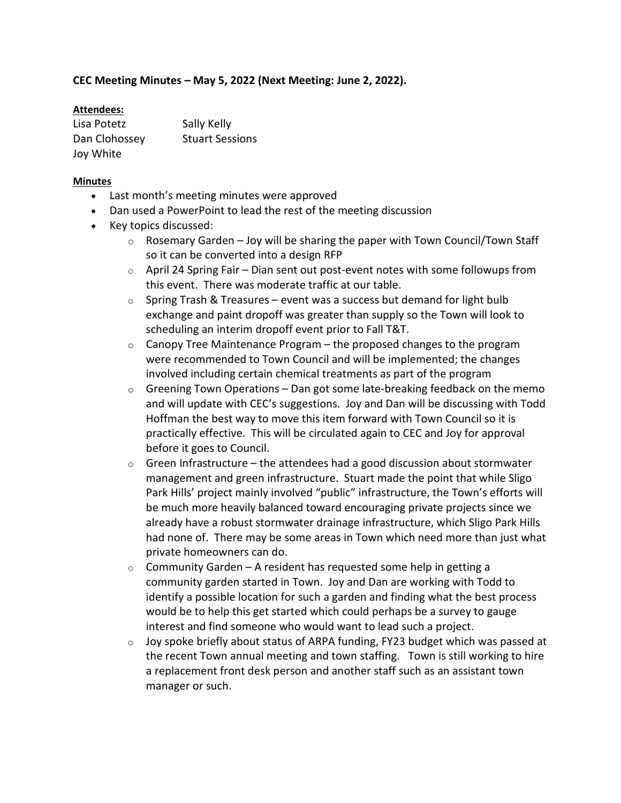## **CEC Meeting Minutes – May 5, 2022 (Next Meeting: June 2, 2022).**

## **Attendees:**

| Lisa Potetz   | Sally Kelly            |
|---------------|------------------------|
| Dan Clohossey | <b>Stuart Sessions</b> |
| Joy White     |                        |

## **Minutes**

- Last month's meeting minutes were approved
- Dan used a PowerPoint to lead the rest of the meeting discussion
- Key topics discussed:
	- $\circ$  Rosemary Garden Joy will be sharing the paper with Town Council/Town Staff so it can be converted into a design RFP
	- $\circ$  April 24 Spring Fair Dian sent out post-event notes with some followups from this event. There was moderate traffic at our table.
	- $\circ$  Spring Trash & Treasures event was a success but demand for light bulb exchange and paint dropoff was greater than supply so the Town will look to scheduling an interim dropoff event prior to Fall T&T.
	- $\circ$  Canopy Tree Maintenance Program the proposed changes to the program were recommended to Town Council and will be implemented; the changes involved including certain chemical treatments as part of the program
	- $\circ$  Greening Town Operations Dan got some late-breaking feedback on the memo and will update with CEC's suggestions. Joy and Dan will be discussing with Todd Hoffman the best way to move this item forward with Town Council so it is practically effective. This will be circulated again to CEC and Joy for approval before it goes to Council.
	- $\circ$  Green Infrastructure the attendees had a good discussion about stormwater management and green infrastructure. Stuart made the point that while Sligo Park Hills' project mainly involved "public" infrastructure, the Town's efforts will be much more heavily balanced toward encouraging private projects since we already have a robust stormwater drainage infrastructure, which Sligo Park Hills had none of. There may be some areas in Town which need more than just what private homeowners can do.
	- $\circ$  Community Garden A resident has requested some help in getting a community garden started in Town. Joy and Dan are working with Todd to identify a possible location for such a garden and finding what the best process would be to help this get started which could perhaps be a survey to gauge interest and find someone who would want to lead such a project.
	- $\circ$  Joy spoke briefly about status of ARPA funding, FY23 budget which was passed at the recent Town annual meeting and town staffing. Town is still working to hire a replacement front desk person and another staff such as an assistant town manager or such.